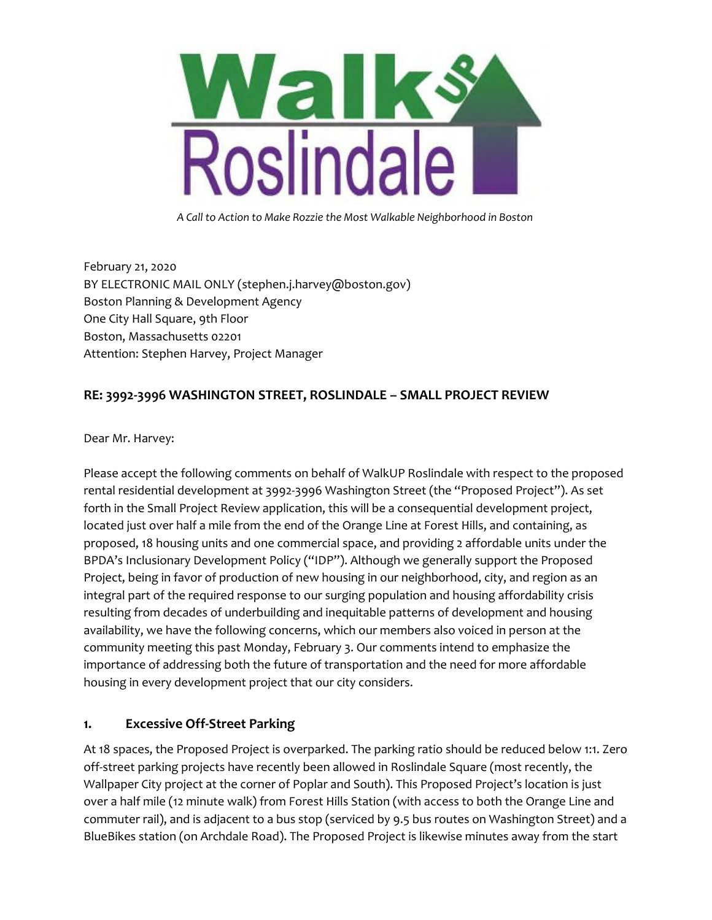

*A Call to Action to Make Rozzie the Most Walkable Neighborhood in Boston*

February 21, 2020 BY ELECTRONIC MAIL ONLY (stephen.j.harvey@boston.gov) Boston Planning & Development Agency One City Hall Square, 9th Floor Boston, Massachusetts 02201 Attention: Stephen Harvey, Project Manager

## **RE: 3992-3996 WASHINGTON STREET, ROSLINDALE – SMALL PROJECT REVIEW**

Dear Mr. Harvey:

Please accept the following comments on behalf of WalkUP Roslindale with respect to the proposed rental residential development at 3992-3996 Washington Street (the "Proposed Project"). As set forth in the Small Project Review application, this will be a consequential development project, located just over half a mile from the end of the Orange Line at Forest Hills, and containing, as proposed, 18 housing units and one commercial space, and providing 2 affordable units under the BPDA's Inclusionary Development Policy ("IDP"). Although we generally support the Proposed Project, being in favor of production of new housing in our neighborhood, city, and region as an integral part of the required response to our surging population and housing affordability crisis resulting from decades of underbuilding and inequitable patterns of development and housing availability, we have the following concerns, which our members also voiced in person at the community meeting this past Monday, February 3. Our comments intend to emphasize the importance of addressing both the future of transportation and the need for more affordable housing in every development project that our city considers.

### **1. Excessive Off-Street Parking**

At 18 spaces, the Proposed Project is overparked. The parking ratio should be reduced below 1:1. Zero off-street parking projects have recently been allowed in Roslindale Square (most recently, the Wallpaper City project at the corner of Poplar and South). This Proposed Project's location is just over a half mile (12 minute walk) from Forest Hills Station (with access to both the Orange Line and commuter rail), and is adjacent to a bus stop (serviced by 9.5 bus routes on Washington Street) and a BlueBikes station (on Archdale Road). The Proposed Project is likewise minutes away from the start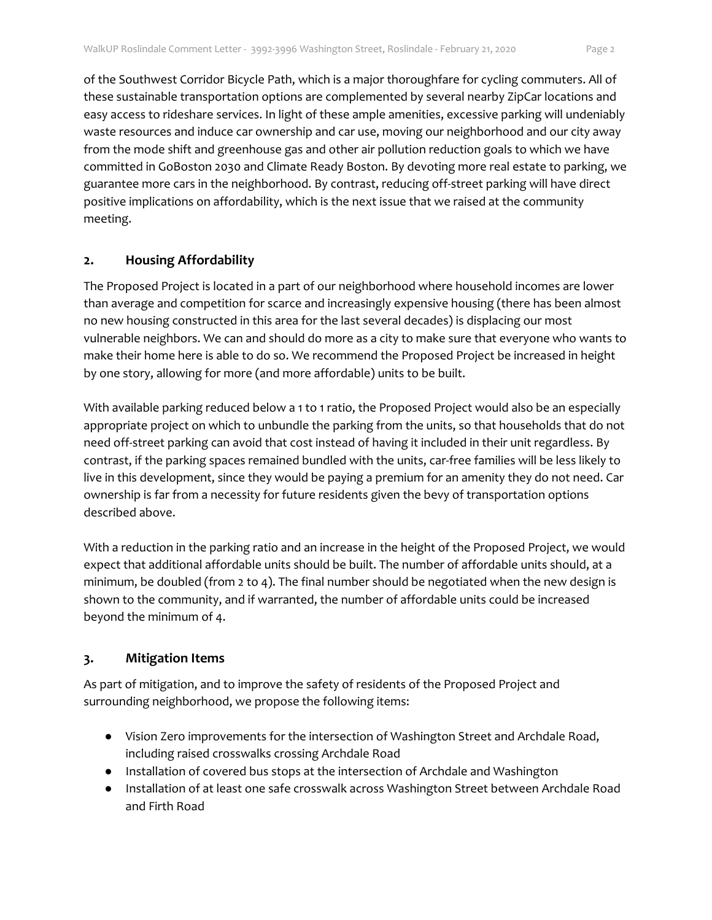of the Southwest Corridor Bicycle Path, which is a major thoroughfare for cycling commuters. All of these sustainable transportation options are complemented by several nearby ZipCar locations and easy access to rideshare services. In light of these ample amenities, excessive parking will undeniably waste resources and induce car ownership and car use, moving our neighborhood and our city away from the mode shift and greenhouse gas and other air pollution reduction goals to which we have committed in GoBoston 2030 and Climate Ready Boston. By devoting more real estate to parking, we guarantee more cars in the neighborhood. By contrast, reducing off-street parking will have direct positive implications on affordability, which is the next issue that we raised at the community meeting.

#### **2. Housing Affordability**

The Proposed Project is located in a part of our neighborhood where household incomes are lower than average and competition for scarce and increasingly expensive housing (there has been almost no new housing constructed in this area for the last several decades) is displacing our most vulnerable neighbors. We can and should do more as a city to make sure that everyone who wants to make their home here is able to do so. We recommend the Proposed Project be increased in height by one story, allowing for more (and more affordable) units to be built.

With available parking reduced below a 1 to 1 ratio, the Proposed Project would also be an especially appropriate project on which to unbundle the parking from the units, so that households that do not need off-street parking can avoid that cost instead of having it included in their unit regardless. By contrast, if the parking spaces remained bundled with the units, car-free families will be less likely to live in this development, since they would be paying a premium for an amenity they do not need. Car ownership is far from a necessity for future residents given the bevy of transportation options described above.

With a reduction in the parking ratio and an increase in the height of the Proposed Project, we would expect that additional affordable units should be built. The number of affordable units should, at a minimum, be doubled (from 2 to 4). The final number should be negotiated when the new design is shown to the community, and if warranted, the number of affordable units could be increased beyond the minimum of 4.

### **3. Mitigation Items**

As part of mitigation, and to improve the safety of residents of the Proposed Project and surrounding neighborhood, we propose the following items:

- Vision Zero improvements for the intersection of Washington Street and Archdale Road, including raised crosswalks crossing Archdale Road
- Installation of covered bus stops at the intersection of Archdale and Washington
- Installation of at least one safe crosswalk across Washington Street between Archdale Road and Firth Road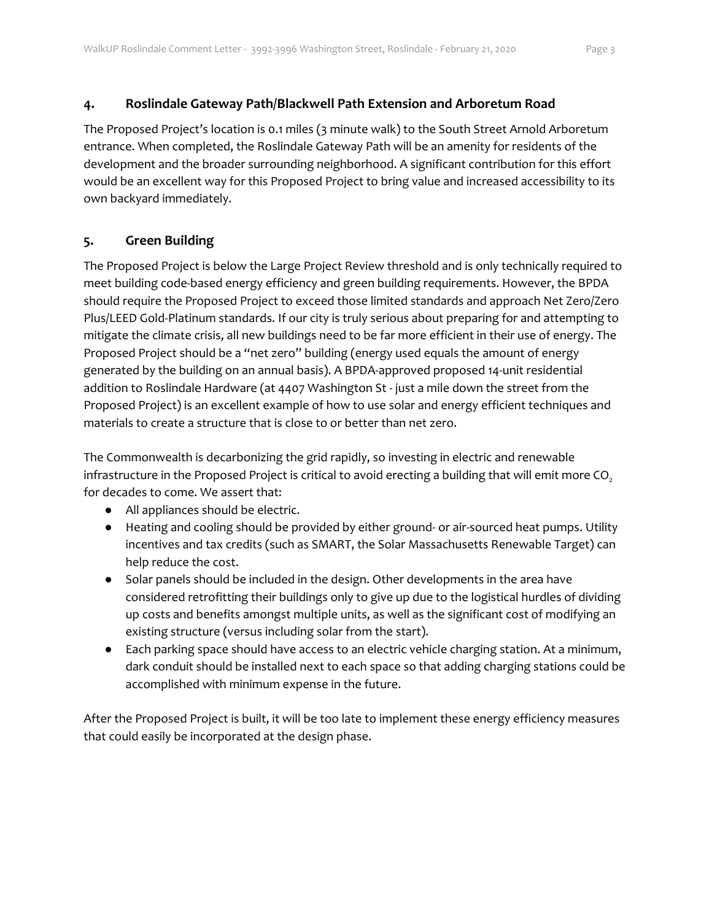### **4. Roslindale Gateway Path/Blackwell Path Extension and Arboretum Road**

The Proposed Project's location is 0.1 miles (3 minute walk) to the South Street Arnold Arboretum entrance. When completed, the Roslindale Gateway Path will be an amenity for residents of the development and the broader surrounding neighborhood. A significant contribution for this effort would be an excellent way for this Proposed Project to bring value and increased accessibility to its own backyard immediately.

## **5. Green Building**

The Proposed Project is below the Large Project Review threshold and is only technically required to meet building code-based energy efficiency and green building requirements. However, the BPDA should require the Proposed Project to exceed those limited standards and approach Net Zero/Zero Plus/LEED Gold-Platinum standards. If our city is truly serious about preparing for and attempting to mitigate the climate crisis, all new buildings need to be far more efficient in their use of energy. The Proposed Project should be a "net zero" building (energy used equals the amount of energy generated by the building on an annual basis). A BPDA-approved proposed 14-unit residential addition to Roslindale Hardware (at 4407 Washington St - just a mile down the street from the Proposed Project) is an excellent example of how to use solar and energy efficient techniques and materials to create a structure that is close to or better than net zero.

The Commonwealth is decarbonizing the grid rapidly, so investing in electric and renewable infrastructure in the Proposed Project is critical to avoid erecting a building that will emit more CO<sub>2</sub> for decades to come. We assert that:

- All appliances should be electric.
- Heating and cooling should be provided by either ground- or air-sourced heat pumps. Utility incentives and tax credits (such as SMART, the Solar Massachusetts Renewable Target) can help reduce the cost.
- Solar panels should be included in the design. Other developments in the area have considered retrofitting their buildings only to give up due to the logistical hurdles of dividing up costs and benefits amongst multiple units, as well as the significant cost of modifying an existing structure (versus including solar from the start).
- Each parking space should have access to an electric vehicle charging station. At a minimum, dark conduit should be installed next to each space so that adding charging stations could be accomplished with minimum expense in the future.

After the Proposed Project is built, it will be too late to implement these energy efficiency measures that could easily be incorporated at the design phase.